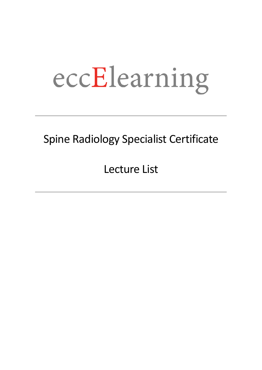# eccElearning

### Spine Radiology Specialist Certificate

Lecture List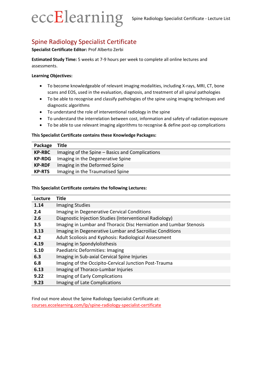## eccElearning

#### Spine Radiology Specialist Certificate

#### **Specialist Certificate Editor:** Prof Alberto Zerbi

**Estimated Study Time:** 5 weeks at 7-9 hours per week to complete all online lectures and assessments.

#### **Learning Objectives:**

- To become knowledgeable of relevant imaging modalities, including X-rays, MRI, CT, bone scans and EOS, used in the evaluation, diagnosis, and treatment of all spinal pathologies
- To be able to recognise and classify pathologies of the spine using imaging techniques and diagnostic algorithms
- To understand the role of interventional radiology in the spine
- To understand the interrelation between cost, information and safety of radiation exposure
- To be able to use relevant imaging algorithms to recognise & define post-op complications

#### **This Specialist Certificate contains these Knowledge Packages:**

| Package       | Title                                           |
|---------------|-------------------------------------------------|
| <b>KP-RBC</b> | Imaging of the Spine - Basics and Complications |
| <b>KP-RDG</b> | Imaging in the Degenerative Spine               |
| <b>KP-RDF</b> | Imaging in the Deformed Spine                   |
| <b>KP-RTS</b> | Imaging in the Traumatised Spine                |

#### **This Specialist Certificate contains the following Lectures:**

| Lecture          | <b>Title</b>                                                       |
|------------------|--------------------------------------------------------------------|
| 1.14             | <b>Imaging Studies</b>                                             |
| 2.4              | Imaging in Degenerative Cervical Conditions                        |
| 2.6              | Diagnostic Injection Studies (Interventional Radiology)            |
| 3.5 <sub>2</sub> | Imaging in Lumbar and Thoracic Disc Herniation and Lumbar Stenosis |
| 3.13             | Imaging in Degenerative Lumbar and Sacroiliac Conditions           |
| 4.2              | Adult Scoliosis and Kyphosis: Radiological Assessment              |
| 4.19             | Imaging in Spondylolisthesis                                       |
| 5.10             | Paediatric Deformities: Imaging                                    |
| 6.3              | Imaging in Sub-axial Cervical Spine Injuries                       |
| 6.8              | Imaging of the Occipito-Cervical Junction Post-Trauma              |
| 6.13             | Imaging of Thoraco-Lumbar Injuries                                 |
| 9.22             | Imaging of Early Complications                                     |
| 9.23             | Imaging of Late Complications                                      |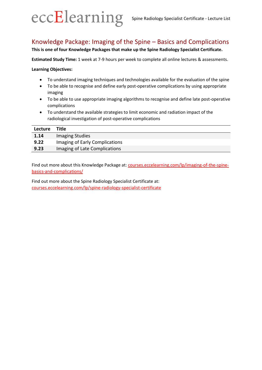

#### Knowledge Package: Imaging of the Spine – Basics and Complications

#### **This is one of four Knowledge Packages that make up the Spine Radiology Specialist Certificate.**

**Estimated Study Time:** 1 week at 7-9 hours per week to complete all online lectures & assessments.

**Learning Objectives:**

- To understand imaging techniques and technologies available for the evaluation of the spine
- To be able to recognise and define early post-operative complications by using appropriate imaging
- To be able to use appropriate imaging algorithms to recognise and define late post-operative complications
- To understand the available strategies to limit economic and radiation impact of the radiological investigation of post-operative complications

| <b>Lecture</b> | Title                          |
|----------------|--------------------------------|
| 1.14           | Imaging Studies                |
| 9.22           | Imaging of Early Complications |
| 9.23           | Imaging of Late Complications  |

Find out more about this Knowledge Package at: [courses.eccelearning.com/lp/imaging-of-the-spine](https://courses.eccelearning.com/lp/imaging-of-the-spine-basics-and-complications?utm_source=eccElearning&utm_medium=PDF&utm_campaign=Lecture-List&utm_term=&utm_content=KP-RBC)[basics-and-complications/](https://courses.eccelearning.com/lp/imaging-of-the-spine-basics-and-complications?utm_source=eccElearning&utm_medium=PDF&utm_campaign=Lecture-List&utm_term=&utm_content=KP-RBC)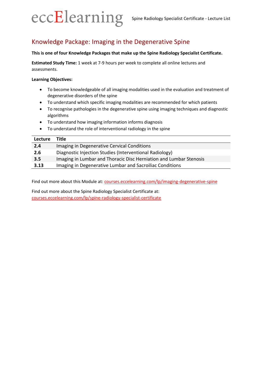

#### Knowledge Package: Imaging in the Degenerative Spine

#### **This is one of four Knowledge Packages that make up the Spine Radiology Specialist Certificate.**

**Estimated Study Time:** 1 week at 7-9 hours per week to complete all online lectures and assessments.

#### **Learning Objectives:**

- To become knowledgeable of all imaging modalities used in the evaluation and treatment of degenerative disorders of the spine
- To understand which specific imaging modalities are recommended for which patients
- To recognise pathologies in the degenerative spine using imaging techniques and diagnostic algorithms
- To understand how imaging information informs diagnosis
- To understand the role of interventional radiology in the spine

| 2.4  | Imaging in Degenerative Cervical Conditions                        |
|------|--------------------------------------------------------------------|
| 2.6  | Diagnostic Injection Studies (Interventional Radiology)            |
| 3.5  | Imaging in Lumbar and Thoracic Disc Herniation and Lumbar Stenosis |
| 3.13 | Imaging in Degenerative Lumbar and Sacroiliac Conditions           |

Find out more about this Module at: [courses.eccelearning.com/lp/imaging-degenerative-spine](https://courses.eccelearning.com/lp/imaging-degenerative-spine?utm_source=eccElearning&utm_medium=PDF&utm_campaign=Lecture-List&utm_term=&utm_content=KP-RDG)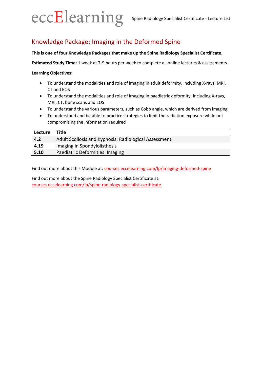

#### Knowledge Package: Imaging in the Deformed Spine

**This is one of four Knowledge Packages that make up the Spine Radiology Specialist Certificate.**

**Estimated Study Time:** 1 week at 7-9 hours per week to complete all online lectures & assessments.

**Learning Objectives:**

- To understand the modalities and role of imaging in adult deformity, including X-rays, MRI, CT and EOS
- To understand the modalities and role of imaging in paediatric deformity, including X-rays, MRI, CT, bone scans and EOS
- To understand the various parameters, such as Cobb angle, which are derived from imaging
- To understand and be able to practice strategies to limit the radiation exposure while not compromising the information required

| Lecture | Title                                                 |
|---------|-------------------------------------------------------|
| 4.2     | Adult Scoliosis and Kyphosis: Radiological Assessment |
| 4.19    | Imaging in Spondylolisthesis                          |
| 5.10    | Paediatric Deformities: Imaging                       |

Find out more about this Module at: [courses.eccelearning.com/lp/imaging-deformed-spine](https://courses.eccelearning.com/lp/imaging-deformed-spine?utm_source=eccElearning&utm_medium=PDF&utm_campaign=Lecture-List&utm_term=&utm_content=KP-RDF)